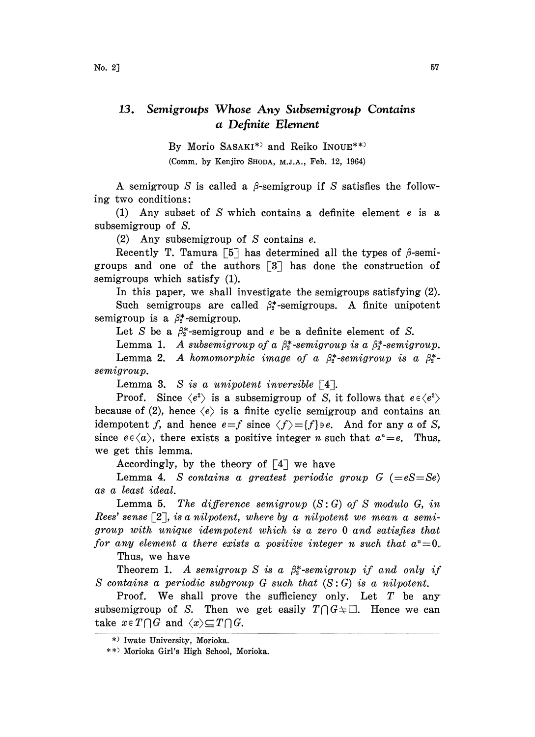## 13. Semigroups Whose Any Subsemigroup Contains a Definite Element

By Morio SASAKI\*) and Reiko INOUE\*\*) (Comm. by Kenjiro SHODA, M.J.A., Feb. 12, 1964)

A semigroup S is called a  $\beta$ -semigroup if S satisfies the following two conditions:

(1) Any subset of S which contains a definite element <sup>e</sup> is a subsemigroup of S.

(2) Any subsemigroup of S contains e.

Recently T. Tamura [5] has determined all the types of  $\beta$ -semigroups and one of the authors  $\lceil 3 \rceil$  has done the construction of semigroups which satisfy (1).

In this paper, we shall investigate the semigroups satisfying (2). Such semigroups are called  $\beta_2^*$ -semigroups. A finite unipotent semigroup is a  $\beta_2^*$ -semigroup.

Let S be a  $\beta_2^*$ -semigroup and e be a definite element of S.

Lemma 1. A subsemigroup of a  $\beta_2^*$ -semigroup is a  $\beta_3^*$ -semigroup. Lemma 2. A homomorphic image of a  $\beta_2^*$ -semigroup is a  $\beta_2^*$ semigroup.

Lemma 3. S is a unipotent inversible  $\lceil 4 \rceil$ .

Proof. Since  $\langle e^2 \rangle$  is a subsemigroup of S, it follows that  $e \in \langle e^2 \rangle$ because of (2), hence  $\langle e \rangle$  is a finite cyclic semigroup and contains an idempotent f, and hence  $e=f$  since  $\langle f \rangle = f}$  is e. And for any a of S, since  $e \in \langle a \rangle$ , there exists a positive integer *n* such that  $a^n = e$ . Thus, we get this lemma.

Accordingly, by the theory of  $\lceil 4 \rceil$  we have

Lemma 4. S contains a greatest periodic group  $G$  (=eS=Se) as a least ideal.

Lemma 5. The difference semigroup  $(S:G)$  of S modulo G, in Rees' sense  $\lceil 2 \rceil$ , is a nilpotent, where by a nilpotent we mean a semigroup with unique idempotent which is a zero 0 and satisfies that for any element a there exists a positive integer n such that  $a<sup>n</sup>=0$ .

Thus, we have

Theorem 1. A semigroup S is a  $\beta_2^*$ -semigroup if and only if S contains a periodic subgroup  $G$  such that  $(S:G)$  is a nilpotent.

Proof. We shall prove the sufficiency only. Let  $T$  be any subsemigroup of S. Then we get easily  $T \cap G + \square$ . Hence we can take  $x \in T \cap G$  and  $\langle x \rangle \subseteq T \cap G$ .

<sup>\*)</sup> Iwate University, Morioka.

<sup>\*\*)</sup> Morioka Girl's High School, Morioka.